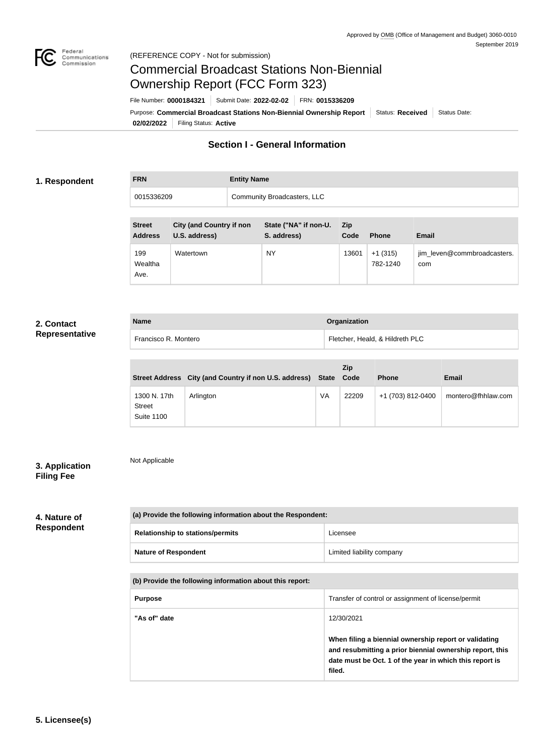

# Commercial Broadcast Stations Non-Biennial Ownership Report (FCC Form 323)

**02/02/2022** Filing Status: **Active** Purpose: Commercial Broadcast Stations Non-Biennial Ownership Report Status: Received Status Date: File Number: **0000184321** Submit Date: **2022-02-02** FRN: **0015336209**

## **Section I - General Information**

#### **1. Respondent**

| <b>FRN</b> | <b>Entity Name</b>          |
|------------|-----------------------------|
| 0015336209 | Community Broadcasters, LLC |

| <b>Street</b><br><b>Address</b> | <b>City (and Country if non</b><br>U.S. address) | State ("NA" if non-U.<br>S. address) | <b>Zip</b><br>Code | <b>Phone</b>          | <b>Email</b>                       |
|---------------------------------|--------------------------------------------------|--------------------------------------|--------------------|-----------------------|------------------------------------|
| 199<br>Wealtha<br>Ave.          | Watertown                                        | <b>NY</b>                            | 13601              | $+1(315)$<br>782-1240 | jim_leven@commbroadcasters.<br>com |

### **2. Contact Representative**

| <b>Name</b>          | Organization                    |
|----------------------|---------------------------------|
| Francisco R. Montero | Fletcher, Heald, & Hildreth PLC |

|                                                    | Street Address City (and Country if non U.S. address) State Code |    | <b>Zip</b> | <b>Phone</b>      | Email              |
|----------------------------------------------------|------------------------------------------------------------------|----|------------|-------------------|--------------------|
| 1300 N. 17th<br><b>Street</b><br><b>Suite 1100</b> | Arlington                                                        | VA | 22209      | +1 (703) 812-0400 | montero@fhhlaw.com |

### **3. Application Filing Fee**

Not Applicable

#### **4. Nature of Respondent**

| (a) Provide the following information about the Respondent: |                           |  |
|-------------------------------------------------------------|---------------------------|--|
| <b>Relationship to stations/permits</b>                     | Licensee                  |  |
| <b>Nature of Respondent</b>                                 | Limited liability company |  |

#### **(b) Provide the following information about this report:**

| <b>Purpose</b> | Transfer of control or assignment of license/permit                                                                                                                                                  |
|----------------|------------------------------------------------------------------------------------------------------------------------------------------------------------------------------------------------------|
| "As of" date   | 12/30/2021<br>When filing a biennial ownership report or validating<br>and resubmitting a prior biennial ownership report, this<br>date must be Oct. 1 of the year in which this report is<br>filed. |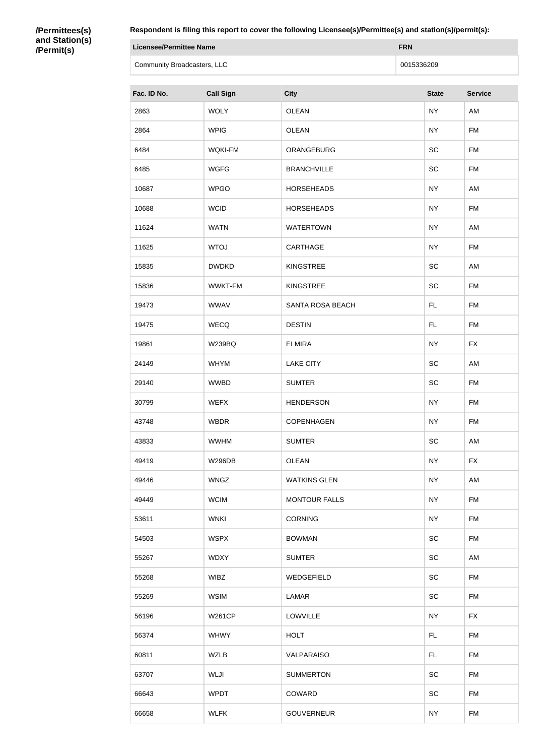#### **/Permittees(s) and Station(s) /Permit(s)**

| Licensee/Permittee Name     | <b>FRN</b> |
|-----------------------------|------------|
| Community Broadcasters, LLC | 0015336209 |

| Fac. ID No. | <b>Call Sign</b> | <b>City</b>             | <b>State</b> | <b>Service</b> |
|-------------|------------------|-------------------------|--------------|----------------|
| 2863        | <b>WOLY</b>      | <b>OLEAN</b>            | <b>NY</b>    | AM             |
| 2864        | <b>WPIG</b>      | <b>OLEAN</b>            | <b>NY</b>    | <b>FM</b>      |
| 6484        | <b>WQKI-FM</b>   | ORANGEBURG              | SC           | <b>FM</b>      |
| 6485        | <b>WGFG</b>      | <b>BRANCHVILLE</b>      | SC           | <b>FM</b>      |
| 10687       | <b>WPGO</b>      | <b>HORSEHEADS</b>       | <b>NY</b>    | AM             |
| 10688       | <b>WCID</b>      | <b>HORSEHEADS</b>       | <b>NY</b>    | <b>FM</b>      |
| 11624       | <b>WATN</b>      | <b>WATERTOWN</b>        | <b>NY</b>    | AM             |
| 11625       | <b>WTOJ</b>      | CARTHAGE                | <b>NY</b>    | <b>FM</b>      |
| 15835       | <b>DWDKD</b>     | <b>KINGSTREE</b>        | SC           | AM             |
| 15836       | WWKT-FM          | <b>KINGSTREE</b>        | SC           | <b>FM</b>      |
| 19473       | <b>WWAV</b>      | <b>SANTA ROSA BEACH</b> | FL.          | <b>FM</b>      |
| 19475       | <b>WECQ</b>      | <b>DESTIN</b>           | FL.          | <b>FM</b>      |
| 19861       | <b>W239BQ</b>    | <b>ELMIRA</b>           | <b>NY</b>    | <b>FX</b>      |
| 24149       | <b>WHYM</b>      | <b>LAKE CITY</b>        | SC           | AM             |
| 29140       | <b>WWBD</b>      | <b>SUMTER</b>           | SC           | <b>FM</b>      |
| 30799       | <b>WEFX</b>      | <b>HENDERSON</b>        | <b>NY</b>    | <b>FM</b>      |
| 43748       | <b>WBDR</b>      | <b>COPENHAGEN</b>       | <b>NY</b>    | <b>FM</b>      |
| 43833       | <b>WWHM</b>      | <b>SUMTER</b>           | SC           | AM             |
| 49419       | <b>W296DB</b>    | <b>OLEAN</b>            | <b>NY</b>    | <b>FX</b>      |
| 49446       | <b>WNGZ</b>      | <b>WATKINS GLEN</b>     | <b>NY</b>    | AM             |
| 49449       | <b>WCIM</b>      | <b>MONTOUR FALLS</b>    | <b>NY</b>    | FM             |
| 53611       | <b>WNKI</b>      | <b>CORNING</b>          | <b>NY</b>    | FM             |
| 54503       | <b>WSPX</b>      | <b>BOWMAN</b>           | SC           | <b>FM</b>      |
| 55267       | <b>WDXY</b>      | <b>SUMTER</b>           | SC           | AM             |
| 55268       | <b>WIBZ</b>      | WEDGEFIELD              | SC           | <b>FM</b>      |
| 55269       | <b>WSIM</b>      | LAMAR                   | <b>SC</b>    | <b>FM</b>      |
| 56196       | <b>W261CP</b>    | LOWVILLE                | <b>NY</b>    | <b>FX</b>      |
| 56374       | <b>WHWY</b>      | <b>HOLT</b>             | FL.          | <b>FM</b>      |
| 60811       | <b>WZLB</b>      | VALPARAISO              | FL.          | FM             |
| 63707       | WLJI             | <b>SUMMERTON</b>        | SC           | <b>FM</b>      |
| 66643       | <b>WPDT</b>      | COWARD                  | SC           | <b>FM</b>      |
| 66658       | <b>WLFK</b>      | GOUVERNEUR              | <b>NY</b>    | FM             |
|             |                  |                         |              |                |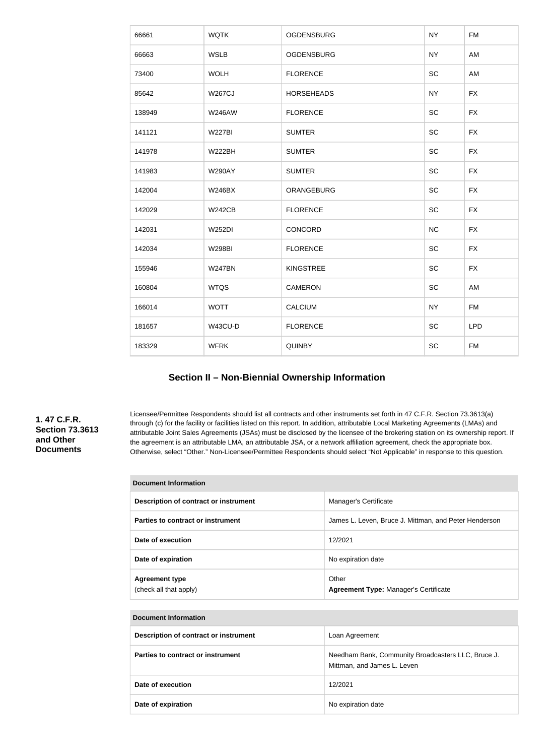| 66661  | <b>WQTK</b>   | <b>OGDENSBURG</b> | <b>NY</b> | <b>FM</b>  |
|--------|---------------|-------------------|-----------|------------|
| 66663  | <b>WSLB</b>   | <b>OGDENSBURG</b> | <b>NY</b> | AM         |
| 73400  | <b>WOLH</b>   | <b>FLORENCE</b>   | SC        | AM         |
| 85642  | <b>W267CJ</b> | <b>HORSEHEADS</b> | <b>NY</b> | <b>FX</b>  |
| 138949 | <b>W246AW</b> | <b>FLORENCE</b>   | <b>SC</b> | <b>FX</b>  |
| 141121 | <b>W227BI</b> | <b>SUMTER</b>     | SC        | <b>FX</b>  |
| 141978 | <b>W222BH</b> | <b>SUMTER</b>     | SC        | <b>FX</b>  |
| 141983 | <b>W290AY</b> | <b>SUMTER</b>     | SC        | <b>FX</b>  |
| 142004 | <b>W246BX</b> | ORANGEBURG        | SC        | <b>FX</b>  |
| 142029 | <b>W242CB</b> | <b>FLORENCE</b>   | SC        | <b>FX</b>  |
| 142031 | <b>W252DI</b> | CONCORD           | NC        | <b>FX</b>  |
| 142034 | <b>W298BI</b> | <b>FLORENCE</b>   | SC        | <b>FX</b>  |
| 155946 | <b>W247BN</b> | <b>KINGSTREE</b>  | SC        | <b>FX</b>  |
| 160804 | <b>WTQS</b>   | <b>CAMERON</b>    | SC        | AM         |
| 166014 | <b>WOTT</b>   | <b>CALCIUM</b>    | <b>NY</b> | <b>FM</b>  |
| 181657 | W43CU-D       | <b>FLORENCE</b>   | SC        | <b>LPD</b> |
| 183329 | <b>WFRK</b>   | QUINBY            | SC        | <b>FM</b>  |
|        |               |                   |           |            |

# **Section II – Non-Biennial Ownership Information**

**1. 47 C.F.R. Section 73.3613 and Other Documents**

Licensee/Permittee Respondents should list all contracts and other instruments set forth in 47 C.F.R. Section 73.3613(a) through (c) for the facility or facilities listed on this report. In addition, attributable Local Marketing Agreements (LMAs) and attributable Joint Sales Agreements (JSAs) must be disclosed by the licensee of the brokering station on its ownership report. If the agreement is an attributable LMA, an attributable JSA, or a network affiliation agreement, check the appropriate box. Otherwise, select "Other." Non-Licensee/Permittee Respondents should select "Not Applicable" in response to this question.

| <b>Document Information</b>           |                                                                                   |
|---------------------------------------|-----------------------------------------------------------------------------------|
| Description of contract or instrument | Manager's Certificate                                                             |
| Parties to contract or instrument     | James L. Leven, Bruce J. Mittman, and Peter Henderson                             |
| Date of execution                     | 12/2021                                                                           |
| Date of expiration                    | No expiration date                                                                |
| <b>Agreement type</b>                 | Other                                                                             |
| (check all that apply)                | <b>Agreement Type: Manager's Certificate</b>                                      |
|                                       |                                                                                   |
| <b>Document Information</b>           |                                                                                   |
| Description of contract or instrument | Loan Agreement                                                                    |
| Parties to contract or instrument     | Needham Bank, Community Broadcasters LLC, Bruce J.<br>Mittman, and James L. Leven |
| Date of execution                     | 12/2021                                                                           |
| Date of expiration                    | No expiration date                                                                |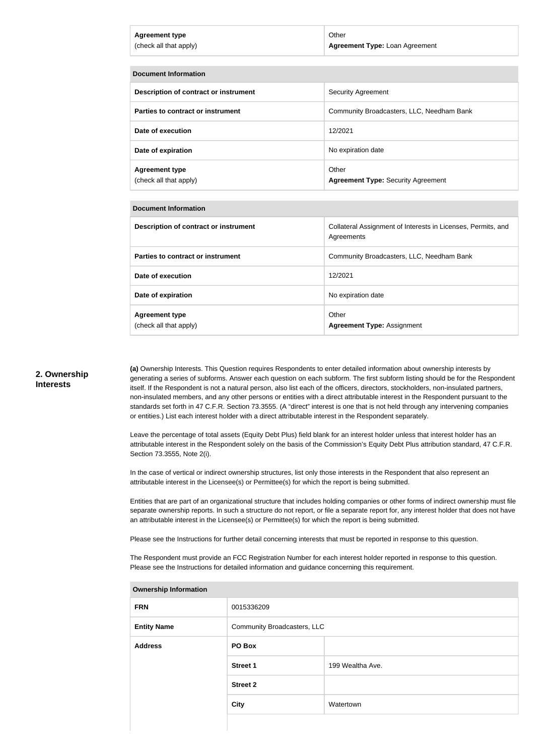| Agreement type         | Other                                 |
|------------------------|---------------------------------------|
| (check all that apply) | <b>Agreement Type: Loan Agreement</b> |

| <b>Document Information</b>                     |                                                    |  |
|-------------------------------------------------|----------------------------------------------------|--|
| Description of contract or instrument           | <b>Security Agreement</b>                          |  |
| Parties to contract or instrument               | Community Broadcasters, LLC, Needham Bank          |  |
| Date of execution                               | 12/2021                                            |  |
| Date of expiration                              | No expiration date                                 |  |
| <b>Agreement type</b><br>(check all that apply) | Other<br><b>Agreement Type: Security Agreement</b> |  |

#### **Document Information**

| Description of contract or instrument           | Collateral Assignment of Interests in Licenses, Permits, and<br>Agreements |
|-------------------------------------------------|----------------------------------------------------------------------------|
| Parties to contract or instrument               | Community Broadcasters, LLC, Needham Bank                                  |
| Date of execution                               | 12/2021                                                                    |
| Date of expiration                              | No expiration date                                                         |
| <b>Agreement type</b><br>(check all that apply) | Other<br><b>Agreement Type: Assignment</b>                                 |

#### **2. Ownership Interests**

**(a)** Ownership Interests. This Question requires Respondents to enter detailed information about ownership interests by generating a series of subforms. Answer each question on each subform. The first subform listing should be for the Respondent itself. If the Respondent is not a natural person, also list each of the officers, directors, stockholders, non-insulated partners, non-insulated members, and any other persons or entities with a direct attributable interest in the Respondent pursuant to the standards set forth in 47 C.F.R. Section 73.3555. (A "direct" interest is one that is not held through any intervening companies or entities.) List each interest holder with a direct attributable interest in the Respondent separately.

Leave the percentage of total assets (Equity Debt Plus) field blank for an interest holder unless that interest holder has an attributable interest in the Respondent solely on the basis of the Commission's Equity Debt Plus attribution standard, 47 C.F.R. Section 73.3555, Note 2(i).

In the case of vertical or indirect ownership structures, list only those interests in the Respondent that also represent an attributable interest in the Licensee(s) or Permittee(s) for which the report is being submitted.

Entities that are part of an organizational structure that includes holding companies or other forms of indirect ownership must file separate ownership reports. In such a structure do not report, or file a separate report for, any interest holder that does not have an attributable interest in the Licensee(s) or Permittee(s) for which the report is being submitted.

Please see the Instructions for further detail concerning interests that must be reported in response to this question.

The Respondent must provide an FCC Registration Number for each interest holder reported in response to this question. Please see the Instructions for detailed information and guidance concerning this requirement.

| <b>Ownership Information</b> |                             |                  |
|------------------------------|-----------------------------|------------------|
| <b>FRN</b>                   | 0015336209                  |                  |
| <b>Entity Name</b>           | Community Broadcasters, LLC |                  |
| <b>Address</b>               | PO Box                      |                  |
|                              | <b>Street 1</b>             | 199 Wealtha Ave. |
|                              | <b>Street 2</b>             |                  |
|                              | <b>City</b>                 | Watertown        |
|                              |                             |                  |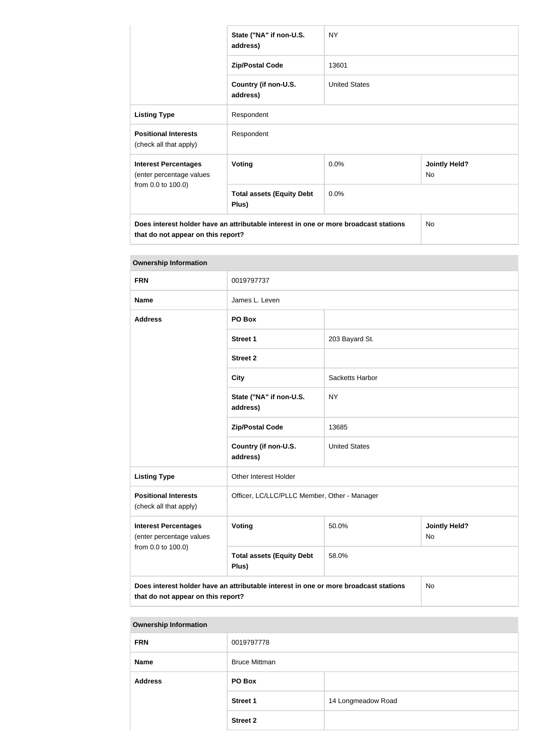|                                                                                                                            | State ("NA" if non-U.S.<br>address)       | <b>NY</b>            |                            |  |
|----------------------------------------------------------------------------------------------------------------------------|-------------------------------------------|----------------------|----------------------------|--|
|                                                                                                                            | <b>Zip/Postal Code</b>                    | 13601                |                            |  |
|                                                                                                                            | Country (if non-U.S.<br>address)          | <b>United States</b> |                            |  |
| <b>Listing Type</b>                                                                                                        | Respondent                                |                      |                            |  |
| <b>Positional Interests</b><br>(check all that apply)                                                                      | Respondent                                |                      |                            |  |
| <b>Interest Percentages</b><br>(enter percentage values                                                                    | <b>Voting</b>                             | 0.0%                 | <b>Jointly Held?</b><br>No |  |
| from 0.0 to 100.0)                                                                                                         | <b>Total assets (Equity Debt</b><br>Plus) | 0.0%                 |                            |  |
| Does interest holder have an attributable interest in one or more broadcast stations<br>that do not appear on this report? |                                           |                      | No.                        |  |

| <b>Ownership Information</b>                                                                                                            |                                              |                      |                            |
|-----------------------------------------------------------------------------------------------------------------------------------------|----------------------------------------------|----------------------|----------------------------|
| <b>FRN</b>                                                                                                                              | 0019797737                                   |                      |                            |
| <b>Name</b>                                                                                                                             | James L. Leven                               |                      |                            |
| <b>Address</b>                                                                                                                          | PO Box                                       |                      |                            |
|                                                                                                                                         | <b>Street 1</b>                              | 203 Bayard St.       |                            |
|                                                                                                                                         | <b>Street 2</b>                              |                      |                            |
|                                                                                                                                         | <b>City</b>                                  | Sacketts Harbor      |                            |
|                                                                                                                                         | State ("NA" if non-U.S.<br>address)          | <b>NY</b>            |                            |
|                                                                                                                                         | <b>Zip/Postal Code</b>                       | 13685                |                            |
|                                                                                                                                         | Country (if non-U.S.<br>address)             | <b>United States</b> |                            |
| <b>Listing Type</b>                                                                                                                     | Other Interest Holder                        |                      |                            |
| <b>Positional Interests</b><br>(check all that apply)                                                                                   | Officer, LC/LLC/PLLC Member, Other - Manager |                      |                            |
| <b>Interest Percentages</b><br>(enter percentage values<br>from 0.0 to 100.0)                                                           | Voting                                       | 50.0%                | <b>Jointly Held?</b><br>No |
|                                                                                                                                         | <b>Total assets (Equity Debt</b><br>Plus)    | 58.0%                |                            |
| Does interest holder have an attributable interest in one or more broadcast stations<br><b>No</b><br>that do not appear on this report? |                                              |                      |                            |

#### **Ownership Information**

| <b>FRN</b>     | 0019797778           |                    |
|----------------|----------------------|--------------------|
| <b>Name</b>    | <b>Bruce Mittman</b> |                    |
| <b>Address</b> | PO Box               |                    |
|                | <b>Street 1</b>      | 14 Longmeadow Road |
|                | <b>Street 2</b>      |                    |
|                |                      |                    |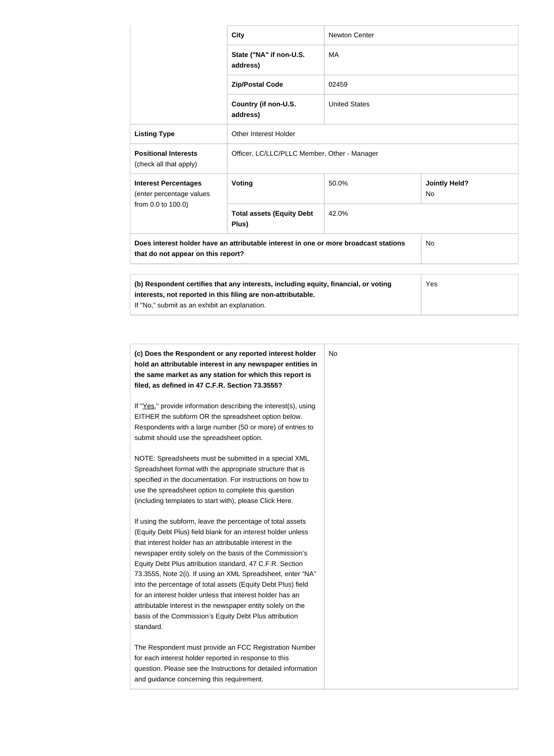|                                                                                                                                                                                                      | <b>City</b>                                  | <b>Newton Center</b> |                                   |
|------------------------------------------------------------------------------------------------------------------------------------------------------------------------------------------------------|----------------------------------------------|----------------------|-----------------------------------|
|                                                                                                                                                                                                      | State ("NA" if non-U.S.<br>address)          | MA                   |                                   |
| 02459<br><b>Zip/Postal Code</b>                                                                                                                                                                      |                                              |                      |                                   |
|                                                                                                                                                                                                      | Country (if non-U.S.<br>address)             | <b>United States</b> |                                   |
| <b>Listing Type</b>                                                                                                                                                                                  | Other Interest Holder                        |                      |                                   |
| <b>Positional Interests</b><br>(check all that apply)                                                                                                                                                | Officer, LC/LLC/PLLC Member, Other - Manager |                      |                                   |
| <b>Interest Percentages</b><br>(enter percentage values                                                                                                                                              | Voting                                       | 50.0%                | <b>Jointly Held?</b><br><b>No</b> |
| from 0.0 to 100.0)                                                                                                                                                                                   | <b>Total assets (Equity Debt</b><br>Plus)    | 42.0%                |                                   |
| Does interest holder have an attributable interest in one or more broadcast stations<br>that do not appear on this report?                                                                           |                                              | <b>No</b>            |                                   |
|                                                                                                                                                                                                      |                                              |                      |                                   |
| (b) Respondent certifies that any interests, including equity, financial, or voting<br>interests, not reported in this filing are non-attributable.<br>If "No," submit as an exhibit an explanation. |                                              | Yes                  |                                   |

| (c) Does the Respondent or any reported interest holder<br>hold an attributable interest in any newspaper entities in |  |
|-----------------------------------------------------------------------------------------------------------------------|--|
| the same market as any station for which this report is                                                               |  |
| filed, as defined in 47 C.F.R. Section 73.3555?                                                                       |  |
| If "Yes," provide information describing the interest(s), using                                                       |  |
| EITHER the subform OR the spreadsheet option below.                                                                   |  |
| Respondents with a large number (50 or more) of entries to                                                            |  |
| submit should use the spreadsheet option.                                                                             |  |
| NOTE: Spreadsheets must be submitted in a special XML                                                                 |  |
| Spreadsheet format with the appropriate structure that is                                                             |  |
| specified in the documentation. For instructions on how to                                                            |  |
| use the spreadsheet option to complete this question                                                                  |  |
| (including templates to start with), please Click Here.                                                               |  |
| If using the subform, leave the percentage of total assets                                                            |  |
| (Equity Debt Plus) field blank for an interest holder unless                                                          |  |
| that interest holder has an attributable interest in the                                                              |  |
| newspaper entity solely on the basis of the Commission's                                                              |  |
| Equity Debt Plus attribution standard, 47 C.F.R. Section                                                              |  |
| 73.3555, Note 2(i). If using an XML Spreadsheet, enter "NA"                                                           |  |
| into the percentage of total assets (Equity Debt Plus) field                                                          |  |
| for an interest holder unless that interest holder has an                                                             |  |
| attributable interest in the newspaper entity solely on the                                                           |  |
| basis of the Commission's Equity Debt Plus attribution                                                                |  |
| standard.                                                                                                             |  |
| The Respondent must provide an FCC Registration Number                                                                |  |
| for each interest holder reported in response to this                                                                 |  |
| question. Please see the Instructions for detailed information                                                        |  |
| and guidance concerning this requirement.                                                                             |  |